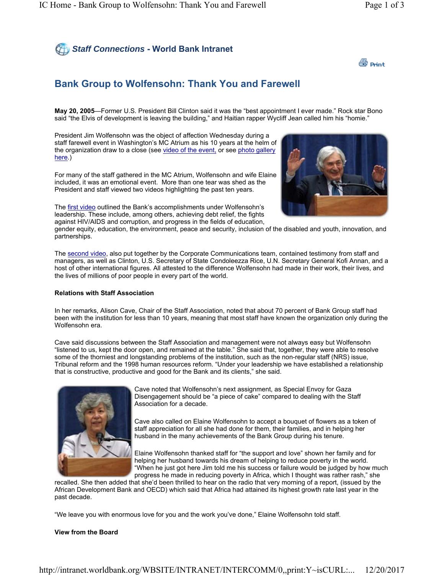# *Staff Connections* **- World Bank Intranet**



## **Bank Group to Wolfensohn: Thank You and Farewell**

**May 20, 2005**—Former U.S. President Bill Clinton said it was the "best appointment I ever made." Rock star Bono said "the Elvis of development is leaving the building," and Haitian rapper Wycliff Jean called him his "homie."

President Jim Wolfensohn was the object of affection Wednesday during a staff farewell event in Washington's MC Atrium as his 10 years at the helm of the organization draw to a close (see video of the event, or see photo gallery here.)

For many of the staff gathered in the MC Atrium, Wolfensohn and wife Elaine included, it was an emotional event. More than one tear was shed as the President and staff viewed two videos highlighting the past ten years.

The first video outlined the Bank's accomplishments under Wolfensohn's leadership. These include, among others, achieving debt relief, the fights against HIV/AIDS and corruption, and progress in the fields of education,

gender equity, education, the environment, peace and security, inclusion of the disabled and youth, innovation, and partnerships.

The second video, also put together by the Corporate Communications team, contained testimony from staff and managers, as well as Clinton, U.S. Secretary of State Condoleezza Rice, U.N. Secretary General Kofi Annan, and a host of other international figures. All attested to the difference Wolfensohn had made in their work, their lives, and the lives of millions of poor people in every part of the world.

#### **Relations with Staff Association**

In her remarks, Alison Cave, Chair of the Staff Association, noted that about 70 percent of Bank Group staff had been with the institution for less than 10 years, meaning that most staff have known the organization only during the Wolfensohn era.

Cave said discussions between the Staff Association and management were not always easy but Wolfensohn "listened to us, kept the door open, and remained at the table." She said that, together, they were able to resolve some of the thorniest and longstanding problems of the institution, such as the non-regular staff (NRS) issue, Tribunal reform and the 1998 human resources reform. "Under your leadership we have established a relationship that is constructive, productive and good for the Bank and its clients," she said.



Cave noted that Wolfensohn's next assignment, as Special Envoy for Gaza Disengagement should be "a piece of cake" compared to dealing with the Staff Association for a decade.

Cave also called on Elaine Wolfensohn to accept a bouquet of flowers as a token of staff appreciation for all she had done for them, their families, and in helping her husband in the many achievements of the Bank Group during his tenure.

Elaine Wolfensohn thanked staff for "the support and love" shown her family and for helping her husband towards his dream of helping to reduce poverty in the world. "When he just got here Jim told me his success or failure would be judged by how much progress he made in reducing poverty in Africa, which I thought was rather rash," she

recalled. She then added that she'd been thrilled to hear on the radio that very morning of a report, (issued by the African Development Bank and OECD) which said that Africa had attained its highest growth rate last year in the past decade.

"We leave you with enormous love for you and the work you've done," Elaine Wolfensohn told staff.

#### **View from the Board**

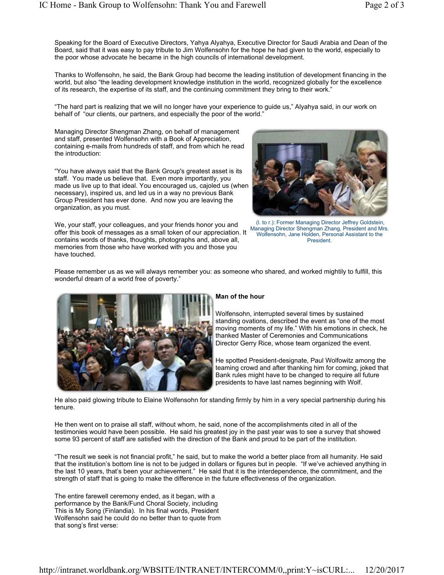Speaking for the Board of Executive Directors, Yahya Alyahya, Executive Director for Saudi Arabia and Dean of the Board, said that it was easy to pay tribute to Jim Wolfensohn for the hope he had given to the world, especially to the poor whose advocate he became in the high councils of international development.

Thanks to Wolfensohn, he said, the Bank Group had become the leading institution of development financing in the world, but also "the leading development knowledge institution in the world, recognized globally for the excellence of its research, the expertise of its staff, and the continuing commitment they bring to their work."

"The hard part is realizing that we will no longer have your experience to guide us," Alyahya said, in our work on behalf of "our clients, our partners, and especially the poor of the world."

Managing Director Shengman Zhang, on behalf of management and staff, presented Wolfensohn with a Book of Appreciation, containing e-mails from hundreds of staff, and from which he read the introduction:

"You have always said that the Bank Group's greatest asset is its staff. You made us believe that. Even more importantly, you made us live up to that ideal. You encouraged us, cajoled us (when necessary), inspired us, and led us in a way no previous Bank Group President has ever done. And now you are leaving the organization, as you must.

We, your staff, your colleagues, and your friends honor you and offer this book of messages as a small token of our appreciation. It contains words of thanks, thoughts, photographs and, above all, memories from those who have worked with you and those you have touched.



(l. to r.): Former Managing Director Jeffrey Goldstein, Managing Director Shengman Zhang, President and Mrs. Wolfensohn, Jane Holden, Personal Assistant to the President.

Please remember us as we will always remember you: as someone who shared, and worked mightily to fulfill, this wonderful dream of a world free of poverty."



### **Man of the hour**

Wolfensohn, interrupted several times by sustained standing ovations, described the event as "one of the most moving moments of my life." With his emotions in check, he thanked Master of Ceremonies and Communications Director Gerry Rice, whose team organized the event.

He spotted President-designate, Paul Wolfowitz among the teaming crowd and after thanking him for coming, joked that Bank rules might have to be changed to require all future presidents to have last names beginning with Wolf.

He also paid glowing tribute to Elaine Wolfensohn for standing firmly by him in a very special partnership during his tenure.

He then went on to praise all staff, without whom, he said, none of the accomplishments cited in all of the testimonies would have been possible. He said his greatest joy in the past year was to see a survey that showed some 93 percent of staff are satisfied with the direction of the Bank and proud to be part of the institution.

"The result we seek is not financial profit," he said, but to make the world a better place from all humanity. He said that the institution's bottom line is not to be judged in dollars or figures but in people. "If we've achieved anything in the last 10 years, that's been your achievement." He said that it is the interdependence, the commitment, and the strength of staff that is going to make the difference in the future effectiveness of the organization.

The entire farewell ceremony ended, as it began, with a performance by the Bank/Fund Choral Society, including This is My Song (Finlandia). In his final words, President Wolfensohn said he could do no better than to quote from that song's first verse: